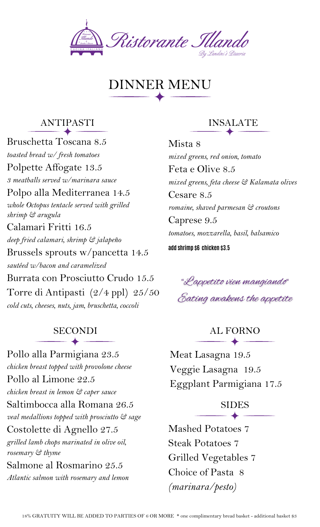

# DINNER MENU

#### ANTIPASTI

Bruschetta Toscana 8.5 *toasted bread w/ fresh tomatoes* Polpette Affogate 13.5 *3 meatballs served w/marinara sauce* Polpo alla Mediterranea 14.5 *whole Octopus tentacle served with grilled shrimp & arugula* Calamari Fritti 16.5 *deep fried calamari, shrimp & jalapeño* Brussels sprouts w/pancetta 14.5 *sautéed w/bacon and caramelized* Burrata con Prosciutto Crudo 15.5 Torre di Antipasti (2/4 ppl) 25/50 *cold cuts, cheeses, nuts, jam, bruschetta, coccoli*

Pollo alla Parmigiana 23.5 *chicken breast topped with provolone cheese* Pollo al Limone 22.5 *chicken breast in lemon & caper sauce* Saltimbocca alla Romana 26.5 *veal medallions topped with prosciutto & sage* Costolette di Agnello 27.5 *grilled lamb chops marinated in olive oil, rosemary & thyme* Salmone al Rosmarino 25.5 *Atlantic salmon with rosemary and lemon*

## INSALATE

Mista 8 *mixed greens, red onion, tomato* Feta e Olive 8.5 *mixed greens, feta cheese & Kalamata olives* Cesare 8.5 *romaine, shaved parmesan & croutons* Caprese 9.5 *tomatoes, mozzarella, basil, balsamico* **add shrimp \$6 chicken \$3.5**

"Lappetito vien mangiando" Eating awakens the appetite

SECONDI AL FORNO

Meat Lasagna 19.5 Veggie Lasagna 19.5 Eggplant Parmigiana 17.5

# SIDES<br>
— <del>A</del>

Mashed Potatoes 7 Steak Potatoes 7 Grilled Vegetables 7 Choice of Pasta 8 *(marinara/pesto)*